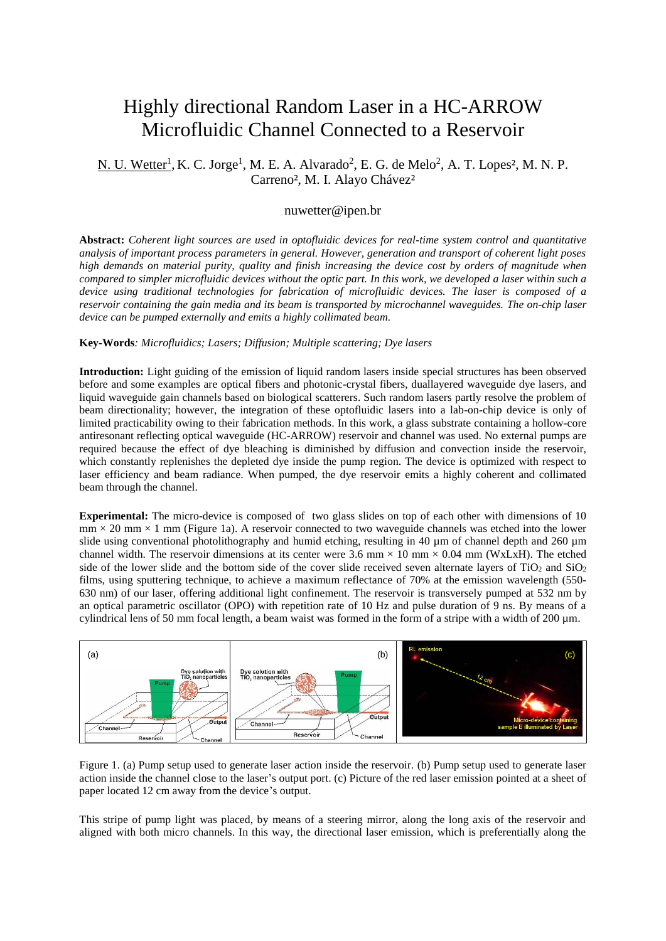## Highly directional Random Laser in a HC-ARROW Microfluidic Channel Connected to a Reservoir

N. U. Wetter<sup>1</sup>, K. C. Jorge<sup>1</sup>, M. E. A. Alvarado<sup>2</sup>, E. G. de Melo<sup>2</sup>, A. T. Lopes<sup>2</sup>, M. N. P. Carreno², M. I. Alayo Chávez²

## nuwetter@ipen.br

**Abstract:** *Coherent light sources are used in optofluidic devices for real-time system control and quantitative analysis of important process parameters in general. However, generation and transport of coherent light poses high demands on material purity, quality and finish increasing the device cost by orders of magnitude when compared to simpler microfluidic devices without the optic part. In this work, we developed a laser within such a device using traditional technologies for fabrication of microfluidic devices. The laser is composed of a reservoir containing the gain media and its beam is transported by microchannel waveguides. The on-chip laser device can be pumped externally and emits a highly collimated beam.*

## **Key-Words***: Microfluidics; Lasers; Diffusion; Multiple scattering; Dye lasers*

**Introduction:** Light guiding of the emission of liquid random lasers inside special structures has been observed before and some examples are optical fibers and photonic-crystal fibers, duallayered waveguide dye lasers, and liquid waveguide gain channels based on biological scatterers. Such random lasers partly resolve the problem of beam directionality; however, the integration of these optofluidic lasers into a lab-on-chip device is only of limited practicability owing to their fabrication methods. In this work, a glass substrate containing a hollow-core antiresonant reflecting optical waveguide (HC-ARROW) reservoir and channel was used. No external pumps are required because the effect of dye bleaching is diminished by diffusion and convection inside the reservoir, which constantly replenishes the depleted dye inside the pump region. The device is optimized with respect to laser efficiency and beam radiance. When pumped, the dye reservoir emits a highly coherent and collimated beam through the channel.

**Experimental:** The micro-device is composed of two glass slides on top of each other with dimensions of 10  $mm \times 20$  mm  $\times 1$  mm [\(Figure 1a](#page-0-0)). A reservoir connected to two waveguide channels was etched into the lower slide using conventional photolithography and humid etching, resulting in 40 µm of channel depth and 260 µm channel width. The reservoir dimensions at its center were 3.6 mm  $\times$  10 mm  $\times$  0.04 mm (WxLxH). The etched side of the lower slide and the bottom side of the cover slide received seven alternate layers of  $TiO<sub>2</sub>$  and  $SiO<sub>2</sub>$ films, using sputtering technique, to achieve a maximum reflectance of 70% at the emission wavelength (550- 630 nm) of our laser, offering additional light confinement. The reservoir is transversely pumped at 532 nm by an optical parametric oscillator (OPO) with repetition rate of 10 Hz and pulse duration of 9 ns. By means of a cylindrical lens of 50 mm focal length, a beam waist was formed in the form of a stripe with a width of 200 µm.



<span id="page-0-0"></span>Figure 1. (a) Pump setup used to generate laser action inside the reservoir. (b) Pump setup used to generate laser action inside the channel close to the laser's output port. (c) Picture of the red laser emission pointed at a sheet of paper located 12 cm away from the device's output.

This stripe of pump light was placed, by means of a steering mirror, along the long axis of the reservoir and aligned with both micro channels. In this way, the directional laser emission, which is preferentially along the